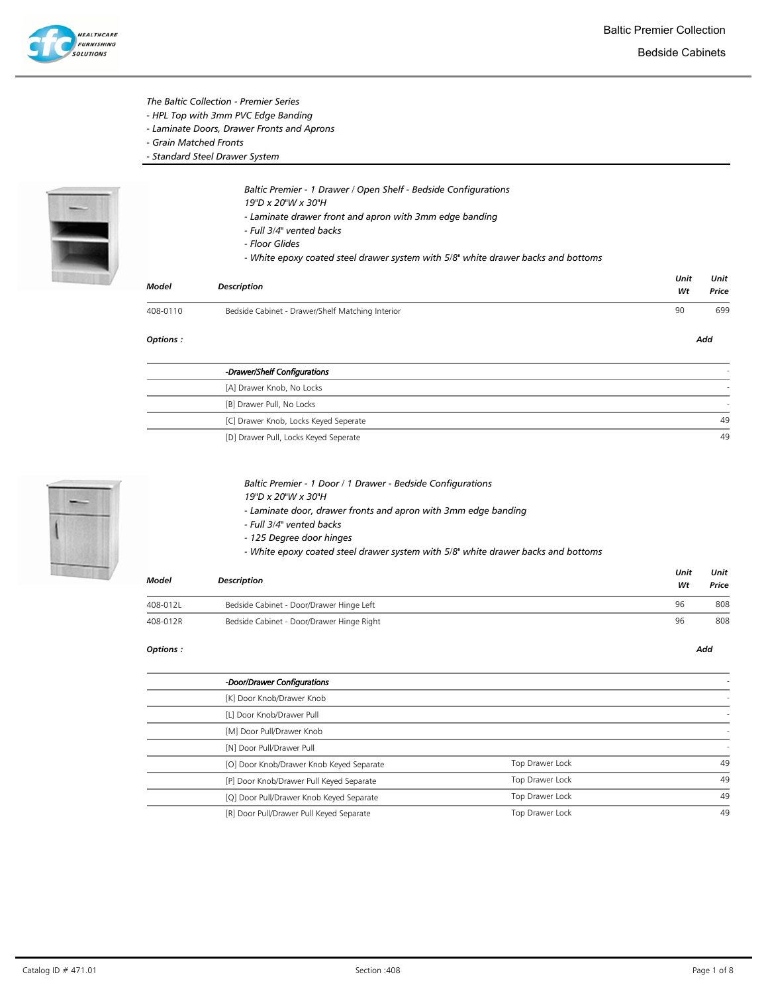

Bedside Cabinets

## The Baltic Collection - Premier Series

- HPL Top with 3mm PVC Edge Banding
- Laminate Doors, Drawer Fronts and Aprons
- Grain Matched Fronts
- Standard Steel Drawer System



Baltic Premier - 1 Drawer / Open Shelf - Bedside Configurations

- 19"D x 20"W x 30"H
- Laminate drawer front and apron with 3mm edge banding
- Full 3/4" vented backs
- Floor Glides
- White epoxy coated steel drawer system with 5/8" white drawer backs and bottoms

| Model    | <b>Description</b>                               | Unit<br>Wt | Unit<br>Price |
|----------|--------------------------------------------------|------------|---------------|
| 408-0110 | Bedside Cabinet - Drawer/Shelf Matching Interior | 90         | 699           |
| Options: |                                                  |            | Add           |

| -Drawer/Shelf Configurations          |    |
|---------------------------------------|----|
| [A] Drawer Knob, No Locks             |    |
| [B] Drawer Pull, No Locks             |    |
| [C] Drawer Knob, Locks Keyed Seperate | 49 |
| [D] Drawer Pull, Locks Keyed Seperate | 49 |



### Baltic Premier - 1 Door / 1 Drawer - Bedside Configurations

19"D x 20"W x 30"H

- Laminate door, drawer fronts and apron with 3mm edge banding

- Full 3/4" vented backs
- 125 Degree door hinges
- White epoxy coated steel drawer system with 5/8" white drawer backs and bottoms

| Model    | Description                               |    |     |
|----------|-------------------------------------------|----|-----|
| 408-012L | Bedside Cabinet - Door/Drawer Hinge Left  | 96 | 808 |
| 408-012R | Bedside Cabinet - Door/Drawer Hinge Right | 96 | 808 |

| -Door/Drawer Configurations              |                 |    |
|------------------------------------------|-----------------|----|
| [K] Door Knob/Drawer Knob                |                 |    |
| [L] Door Knob/Drawer Pull                |                 |    |
| [M] Door Pull/Drawer Knob                |                 |    |
| [N] Door Pull/Drawer Pull                |                 |    |
| [O] Door Knob/Drawer Knob Keyed Separate | Top Drawer Lock | 49 |
| [P] Door Knob/Drawer Pull Keyed Separate | Top Drawer Lock | 49 |
| [Q] Door Pull/Drawer Knob Keyed Separate | Top Drawer Lock | 49 |
| [R] Door Pull/Drawer Pull Keyed Separate | Top Drawer Lock | 49 |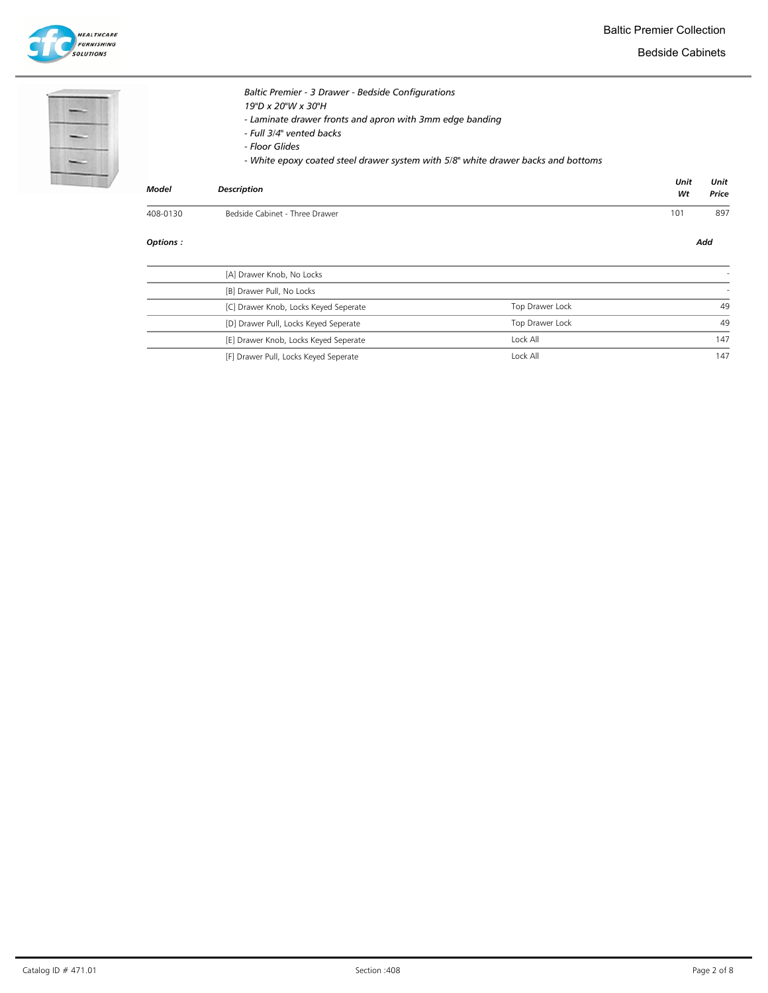Baltic Premier Collection

**HEALTHCARE**<br>FURNISHING<br>SOLUTIONS

Bedside Cabinets

| -- |  |
|----|--|
|    |  |
|    |  |

|          |                                                                                                                                                                                                                                                                         |            | Add           |
|----------|-------------------------------------------------------------------------------------------------------------------------------------------------------------------------------------------------------------------------------------------------------------------------|------------|---------------|
| 408-0130 | Bedside Cabinet - Three Drawer                                                                                                                                                                                                                                          | 101        | 897           |
| Model    | <b>Description</b>                                                                                                                                                                                                                                                      | Unit<br>Wt | Unit<br>Price |
|          | Baltic Premier - 3 Drawer - Bedside Configurations<br>19"D x 20"W x 30"H<br>- Laminate drawer fronts and apron with 3mm edge banding<br>- Full 3/4" vented backs<br>- Floor Glides<br>- White epoxy coated steel drawer system with 5/8" white drawer backs and bottoms |            |               |

| [A] Drawer Knob, No Locks             |                 |     |
|---------------------------------------|-----------------|-----|
| [B] Drawer Pull, No Locks             |                 |     |
| [C] Drawer Knob, Locks Keyed Seperate | Top Drawer Lock | 49  |
| [D] Drawer Pull, Locks Keyed Seperate | Top Drawer Lock | 49  |
| [E] Drawer Knob, Locks Keyed Seperate | Lock All        | 147 |
| [F] Drawer Pull, Locks Keyed Seperate | Lock All        | 147 |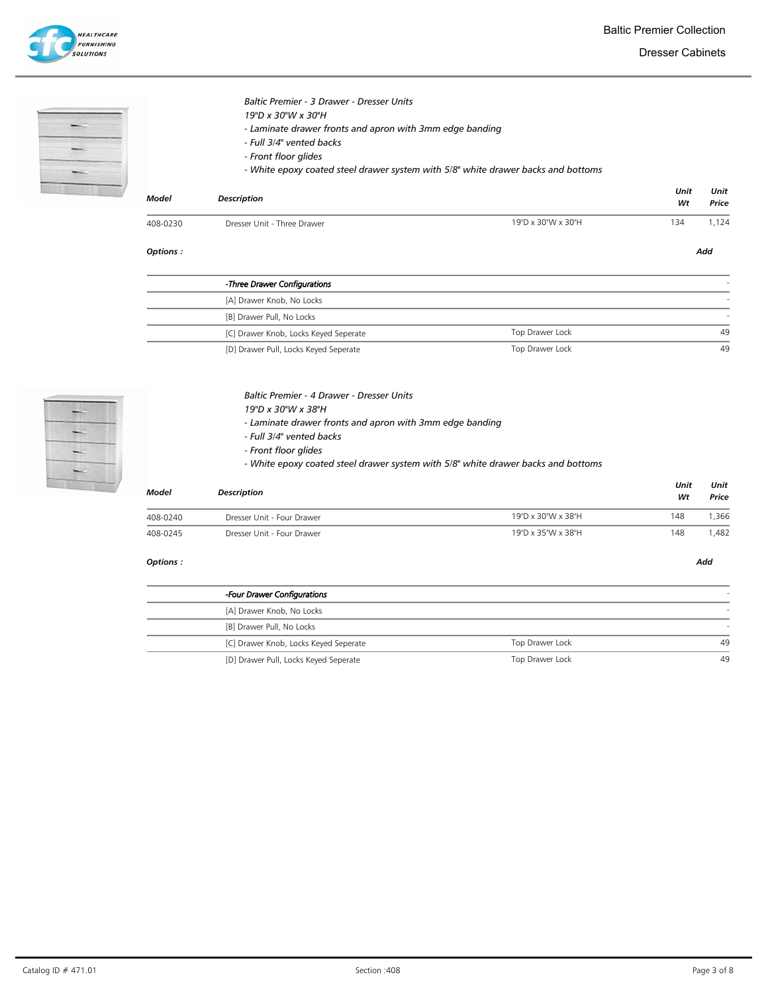Dresser Cabinets



| <b>Model</b> | <b>Description</b>                                                                                                                 |                                                                                   | Unit<br>Wt | Unit<br>Price |
|--------------|------------------------------------------------------------------------------------------------------------------------------------|-----------------------------------------------------------------------------------|------------|---------------|
|              | - Full 3/4" vented backs<br>- Front floor glides                                                                                   | - White epoxy coated steel drawer system with 5/8" white drawer backs and bottoms |            |               |
|              | <b>Baltic Premier - 3 Drawer - Dresser Units</b><br>19"D x 30"W x 30"H<br>- Laminate drawer fronts and apron with 3mm edge banding |                                                                                   |            |               |

Options : Add

 $\overline{a}$ 

| -Three Drawer Configurations          |                       |
|---------------------------------------|-----------------------|
| [A] Drawer Knob, No Locks             |                       |
| [B] Drawer Pull, No Locks             |                       |
| [C] Drawer Knob, Locks Keyed Seperate | Top Drawer Lock<br>49 |
| [D] Drawer Pull, Locks Keyed Seperate | Top Drawer Lock<br>49 |



#### Baltic Premier - 4 Drawer - Dresser Units

- 19"D x 30"W x 38"H
- Laminate drawer fronts and apron with 3mm edge banding
- Full 3/4" vented backs
- Front floor glides
- White epoxy coated steel drawer system with 5/8" white drawer backs and bottoms

| <b>Model</b> | <b>Description</b>         |                    |     | Unit<br>Price |  |
|--------------|----------------------------|--------------------|-----|---------------|--|
| 408-0240     | Dresser Unit - Four Drawer | 19"D x 30"W x 38"H | 148 | .366          |  |
| 408-0245     | Dresser Unit - Four Drawer | 19"D x 35"W x 38"H | 148 | .482,         |  |

| -Four Drawer Configurations           |                 |    |
|---------------------------------------|-----------------|----|
| [A] Drawer Knob, No Locks             |                 |    |
| [B] Drawer Pull, No Locks             |                 |    |
| [C] Drawer Knob, Locks Keyed Seperate | Top Drawer Lock | 49 |
| [D] Drawer Pull, Locks Keyed Seperate | Top Drawer Lock | 49 |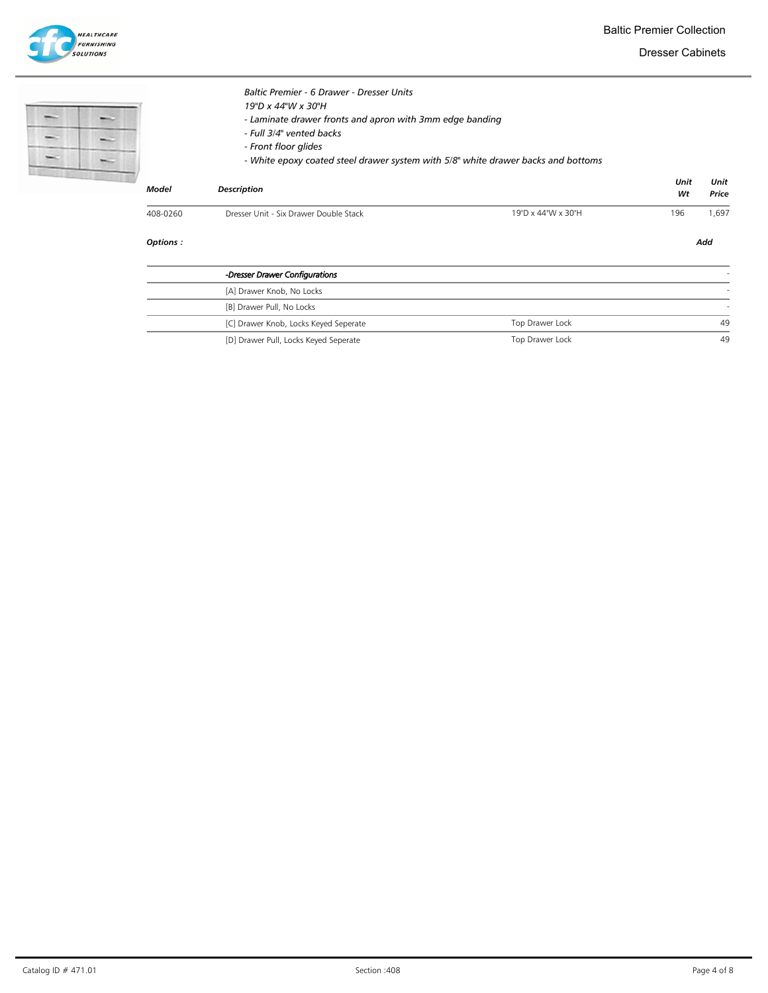Dresser Cabinets

|              | <b>Baltic Premier - 6 Drawer - Dresser Units</b><br>19"D x 44"W x 30"H<br>- Laminate drawer fronts and apron with 3mm edge banding<br>- Full 3/4" vented backs<br>- Front floor glides |                    |      |       |
|--------------|----------------------------------------------------------------------------------------------------------------------------------------------------------------------------------------|--------------------|------|-------|
|              | - White epoxy coated steel drawer system with 5/8" white drawer backs and bottoms                                                                                                      |                    | Unit | Unit  |
| <b>Model</b> | <b>Description</b>                                                                                                                                                                     |                    | Wt   | Price |
| 408-0260     | Dresser Unit - Six Drawer Double Stack                                                                                                                                                 | 19"D x 44"W x 30"H | 196  | .697  |

| -Dresser Drawer Configurations        |                 |    |
|---------------------------------------|-----------------|----|
| [A] Drawer Knob, No Locks             |                 |    |
| [B] Drawer Pull, No Locks             |                 |    |
| [C] Drawer Knob, Locks Keyed Seperate | Top Drawer Lock | 49 |
| [D] Drawer Pull, Locks Keyed Seperate | Top Drawer Lock | 49 |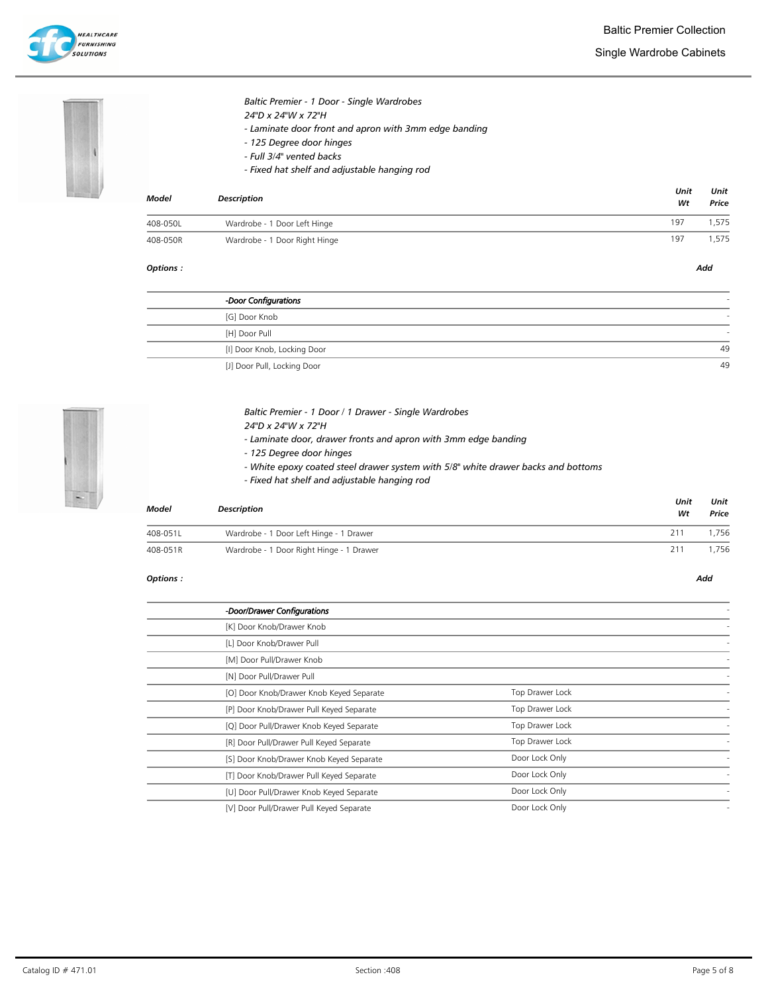



# Baltic Premier - 1 Door - Single Wardrobes

- 24"D x 24"W x 72"H
	- Laminate door front and apron with 3mm edge banding
- 125 Degree door hinges
- Full 3/4" vented backs
- Fixed hat shelf and adjustable hanging rod

| <b>Model</b> | <b>Description</b>            |     | Unit<br>Unit<br>Price |  |
|--------------|-------------------------------|-----|-----------------------|--|
| 408-050L     | Wardrobe - 1 Door Left Hinge  | 197 | .575                  |  |
| 408-050R     | Wardrobe - 1 Door Right Hinge | 197 | ,575                  |  |

#### Options : Add

| -Door Configurations        |    |
|-----------------------------|----|
| [G] Door Knob               |    |
| [H] Door Pull               |    |
| [I] Door Knob, Locking Door | 49 |
| [J] Door Pull, Locking Door | 49 |



# Baltic Premier - 1 Door / 1 Drawer - Single Wardrobes

- 24"D x 24"W x 72"H
- Laminate door, drawer fronts and apron with 3mm edge banding
- 125 Degree door hinges
- White epoxy coated steel drawer system with 5/8" white drawer backs and bottoms
- Fixed hat shelf and adjustable hanging rod

| Model<br><b>Description</b> |                                          | Unit<br>Wt | Unit<br>Price |  |
|-----------------------------|------------------------------------------|------------|---------------|--|
| 408-051L                    | Wardrobe - 1 Door Left Hinge - 1 Drawer  | 211        | 1.756         |  |
| 408-051R                    | Wardrobe - 1 Door Right Hinge - 1 Drawer | 211        | 1,756         |  |

| -Door/Drawer Configurations              |                 |  |
|------------------------------------------|-----------------|--|
| [K] Door Knob/Drawer Knob                |                 |  |
| [L] Door Knob/Drawer Pull                |                 |  |
| [M] Door Pull/Drawer Knob                |                 |  |
| [N] Door Pull/Drawer Pull                |                 |  |
| [O] Door Knob/Drawer Knob Keyed Separate | Top Drawer Lock |  |
| [P] Door Knob/Drawer Pull Keyed Separate | Top Drawer Lock |  |
| [Q] Door Pull/Drawer Knob Keyed Separate | Top Drawer Lock |  |
| [R] Door Pull/Drawer Pull Keyed Separate | Top Drawer Lock |  |
| [S] Door Knob/Drawer Knob Keyed Separate | Door Lock Only  |  |
| [T] Door Knob/Drawer Pull Keyed Separate | Door Lock Only  |  |
| [U] Door Pull/Drawer Knob Keyed Separate | Door Lock Only  |  |
| [V] Door Pull/Drawer Pull Keyed Separate | Door Lock Only  |  |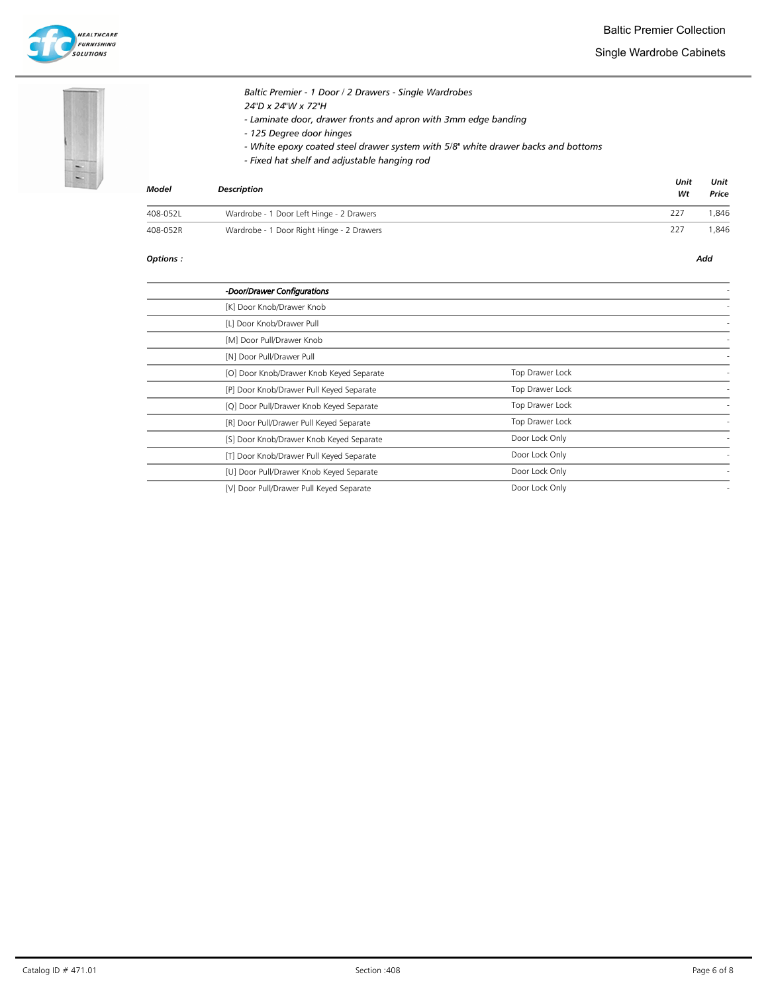

Single Wardrobe Cabinets





# Baltic Premier - 1 Door / 2 Drawers - Single Wardrobes 24"D x 24"W x 72"H - Laminate door, drawer fronts and apron with 3mm edge banding - 125 Degree door hinges

- White epoxy coated steel drawer system with 5/8" white drawer backs and bottoms
- Fixed hat shelf and adjustable hanging rod

| Model    | <b>Description</b>                        | Unit<br>Wt | Unit<br>Price |
|----------|-------------------------------------------|------------|---------------|
| 408-052L | Wardrobe - 1 Door Left Hinge - 2 Drawers  | 227        | .846          |
| 408-052R | Wardrobe - 1 Door Right Hinge - 2 Drawers | 227        | 846.          |

| -Door/Drawer Configurations              |                 |  |
|------------------------------------------|-----------------|--|
| [K] Door Knob/Drawer Knob                |                 |  |
| [L] Door Knob/Drawer Pull                |                 |  |
| [M] Door Pull/Drawer Knob                |                 |  |
| [N] Door Pull/Drawer Pull                |                 |  |
| [O] Door Knob/Drawer Knob Keyed Separate | Top Drawer Lock |  |
| [P] Door Knob/Drawer Pull Keyed Separate | Top Drawer Lock |  |
| [Q] Door Pull/Drawer Knob Keyed Separate | Top Drawer Lock |  |
| [R] Door Pull/Drawer Pull Keyed Separate | Top Drawer Lock |  |
| [S] Door Knob/Drawer Knob Keyed Separate | Door Lock Only  |  |
| [T] Door Knob/Drawer Pull Keyed Separate | Door Lock Only  |  |
| [U] Door Pull/Drawer Knob Keyed Separate | Door Lock Only  |  |
| [V] Door Pull/Drawer Pull Keyed Separate | Door Lock Only  |  |
|                                          |                 |  |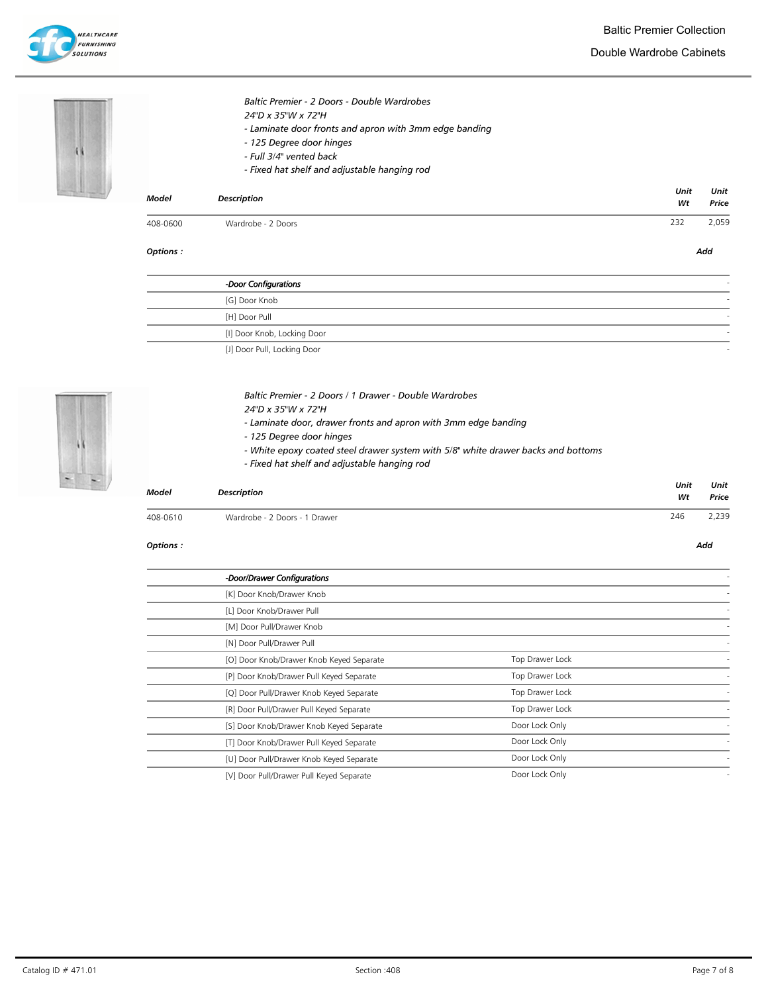

| 221.31 | <b>Model</b> | <b>Description</b>                                                                                                          | Unit<br>Wt | Unit<br>Price |
|--------|--------------|-----------------------------------------------------------------------------------------------------------------------------|------------|---------------|
|        |              | - 125 Degree door hinges<br>- Full 3/4" vented back<br>- Fixed hat shelf and adjustable hanging rod                         |            |               |
|        |              | Baltic Premier - 2 Doors - Double Wardrobes<br>24"D x 35"W x 72"H<br>- Laminate door fronts and apron with 3mm edge banding |            |               |

Options : Add

| -Door Configurations            |  |
|---------------------------------|--|
| [G] Door Knob                   |  |
| [H] Door Pull                   |  |
| [I] Door Knob, Locking Door     |  |
| <b>ULDoor Bull Looking Door</b> |  |

[J] Door Pull, Locking Door



- 24"D x 35"W x 72"H
	- Laminate door, drawer fronts and apron with 3mm edge banding
	- 125 Degree door hinges
	- White epoxy coated steel drawer system with 5/8" white drawer backs and bottoms
	- Fixed hat shelf and adjustable hanging rod

| Model    | <b>Description</b>            | Unit<br>Wt | Unit<br>Price |
|----------|-------------------------------|------------|---------------|
| 408-0610 | Wardrobe - 2 Doors - 1 Drawer | 246        | 2,239         |

#### Options : Add

L.

| -Door/Drawer Configurations              |                 |  |
|------------------------------------------|-----------------|--|
| [K] Door Knob/Drawer Knob                |                 |  |
| [L] Door Knob/Drawer Pull                |                 |  |
| [M] Door Pull/Drawer Knob                |                 |  |
| [N] Door Pull/Drawer Pull                |                 |  |
| [O] Door Knob/Drawer Knob Keyed Separate | Top Drawer Lock |  |
| [P] Door Knob/Drawer Pull Keyed Separate | Top Drawer Lock |  |
| [Q] Door Pull/Drawer Knob Keyed Separate | Top Drawer Lock |  |
| [R] Door Pull/Drawer Pull Keyed Separate | Top Drawer Lock |  |
| [S] Door Knob/Drawer Knob Keyed Separate | Door Lock Only  |  |
| [T] Door Knob/Drawer Pull Keyed Separate | Door Lock Only  |  |
| [U] Door Pull/Drawer Knob Keyed Separate | Door Lock Only  |  |
| [V] Door Pull/Drawer Pull Keyed Separate | Door Lock Only  |  |